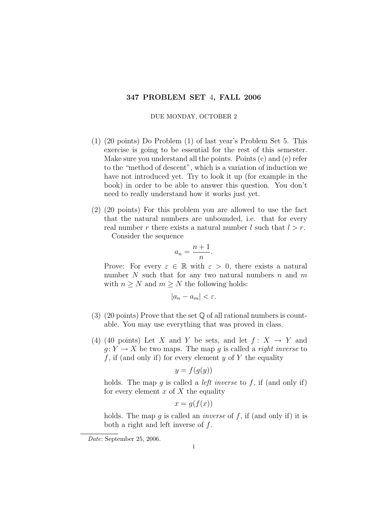## 347 PROBLEM SET 4, FALL 2006

## DUE MONDAY, OCTOBER 2

- (1) (20 points) Do Problem (1) of last year's Problem Set 5. This exercise is going to be essential for the rest of this semester. Make sure you understand all the points. Points (c) and (e) refer to the "method of descent", which is a variation of induction we have not introduced yet. Try to look it up (for example in the book) in order to be able to answer this question. You don't need to really understand how it works just yet.
- (2) (20 points) For this problem you are allowed to use the fact that the natural numbers are unbounded, i.e. that for every real number r there exists a natural number l such that  $l > r$ .

Consider the sequence

$$
a_n = \frac{n+1}{n}.
$$

Prove: For every  $\varepsilon \in \mathbb{R}$  with  $\varepsilon > 0$ , there exists a natural number N such that for any two natural numbers n and  $m$ with  $n \geq N$  and  $m \geq N$  the following holds:

$$
|a_n - a_m| < \varepsilon.
$$

- (3) (20 points) Prove that the set  $\mathbb Q$  of all rational numbers is countable. You may use everything that was proved in class.
- (4) (40 points) Let X and Y be sets, and let  $f: X \rightarrow Y$  and  $q: Y \to X$  be two maps. The map q is called a *right inverse* to f, if (and only if) for every element  $y$  of Y the equality

$$
y = f(g(y))
$$

holds. The map g is called a *left inverse* to f, if (and only if) for every element  $x$  of  $X$  the equality

 $x = g(f(x))$ 

holds. The map g is called an *inverse* of  $f$ , if (and only if) it is both a right and left inverse of  $f$ .

Date: September 25, 2006.